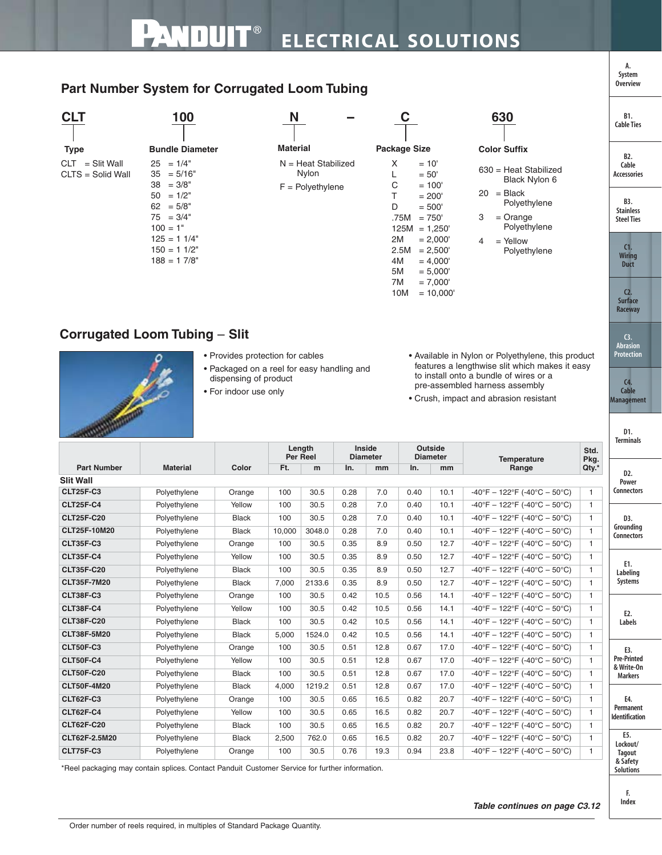## **Part Number System for Corrugated Loom Tubing**



## **Corrugated Loom Tubing** – **Slit**



- Provides protection for cables
- Packaged on a reel for easy handling and dispensing of product
- For indoor use only
- Available in Nylon or Polyethylene, this product features a lengthwise slit which makes it easy to install onto a bundle of wires or a pre-assembled harness assembly
- Crush, impact and abrasion resistant

 $10M = 10,000'$ 

| <b>SKILLER COMPANY</b> |                 |              |                           |        |                                  |      |                            |      |                                                                         |                | D1.<br><b>Terminals</b>            |
|------------------------|-----------------|--------------|---------------------------|--------|----------------------------------|------|----------------------------|------|-------------------------------------------------------------------------|----------------|------------------------------------|
|                        |                 | Color        | Length<br><b>Per Reel</b> |        | <b>Inside</b><br><b>Diameter</b> |      | Outside<br><b>Diameter</b> |      | <b>Temperature</b>                                                      | Std.<br>Pkg.   |                                    |
| <b>Part Number</b>     | <b>Material</b> |              | Ft.                       | m      | In.                              | mm   | In.                        | mm   | Range                                                                   | Qty.*          | D <sub>2</sub> .                   |
| <b>Slit Wall</b>       |                 |              |                           |        |                                  |      |                            |      |                                                                         |                | Power                              |
| <b>CLT25F-C3</b>       | Polyethylene    | Orange       | 100                       | 30.5   | 0.28                             | 7.0  | 0.40                       | 10.1 | $-40^{\circ}$ F - 122 $^{\circ}$ F (-40 $^{\circ}$ C - 50 $^{\circ}$ C) | $\mathbf{1}$   | <b>Connectors</b>                  |
| <b>CLT25F-C4</b>       | Polyethylene    | Yellow       | 100                       | 30.5   | 0.28                             | 7.0  | 0.40                       | 10.1 | $-40^{\circ}F - 122^{\circ}F (-40^{\circ}C - 50^{\circ}C)$              | $\mathbf{1}$   |                                    |
| <b>CLT25F-C20</b>      | Polyethylene    | <b>Black</b> | 100                       | 30.5   | 0.28                             | 7.0  | 0.40                       | 10.1 | $-40^{\circ}F - 122^{\circ}F - 40^{\circ}C - 50^{\circ}C$               | $\mathbf{1}$   | D3.                                |
| <b>CLT25F-10M20</b>    | Polyethylene    | <b>Black</b> | 10.000                    | 3048.0 | 0.28                             | 7.0  | 0.40                       | 10.1 | $-40^{\circ}F - 122^{\circ}F - 40^{\circ}C - 50^{\circ}C$               | $\mathbf{1}$   | Grounding<br><b>Connectors</b>     |
| <b>CLT35F-C3</b>       | Polyethylene    | Orange       | 100                       | 30.5   | 0.35                             | 8.9  | 0.50                       | 12.7 | $-40^{\circ}F - 122^{\circ}F (-40^{\circ}C - 50^{\circ}C)$              | $\mathbf{1}$   |                                    |
| <b>CLT35F-C4</b>       | Polyethylene    | Yellow       | 100                       | 30.5   | 0.35                             | 8.9  | 0.50                       | 12.7 | $-40^{\circ}F - 122^{\circ}F - 40^{\circ}C - 50^{\circ}C$               | $\mathbf{1}$   |                                    |
| <b>CLT35F-C20</b>      | Polyethylene    | <b>Black</b> | 100                       | 30.5   | 0.35                             | 8.9  | 0.50                       | 12.7 | $-40^{\circ}F - 122^{\circ}F (-40^{\circ}C - 50^{\circ}C)$              | $\mathbf{1}$   | E1.<br>Labeling                    |
| CLT35F-7M20            | Polyethylene    | <b>Black</b> | 7,000                     | 2133.6 | 0.35                             | 8.9  | 0.50                       | 12.7 | $-40^{\circ}F - 122^{\circ}F (-40^{\circ}C - 50^{\circ}C)$              | $\mathbf{1}$   | Systems                            |
| <b>CLT38F-C3</b>       | Polyethylene    | Orange       | 100                       | 30.5   | 0.42                             | 10.5 | 0.56                       | 14.1 | $-40^{\circ}F - 122^{\circ}F - 40^{\circ}C - 50^{\circ}C$               | $\mathbf{1}$   |                                    |
| CLT38F-C4              | Polyethylene    | Yellow       | 100                       | 30.5   | 0.42                             | 10.5 | 0.56                       | 14.1 | $-40^{\circ}F - 122^{\circ}F (-40^{\circ}C - 50^{\circ}C)$              | $\mathbf{1}$   | E <sub>2</sub> .                   |
| <b>CLT38F-C20</b>      | Polyethylene    | <b>Black</b> | 100                       | 30.5   | 0.42                             | 10.5 | 0.56                       | 14.1 | $-40^{\circ}F - 122^{\circ}F (-40^{\circ}C - 50^{\circ}C)$              | $\overline{1}$ | Labels                             |
| <b>CLT38F-5M20</b>     | Polyethylene    | <b>Black</b> | 5,000                     | 1524.0 | 0.42                             | 10.5 | 0.56                       | 14.1 | $-40^{\circ}F - 122^{\circ}F (-40^{\circ}C - 50^{\circ}C)$              | $\mathbf{1}$   |                                    |
| <b>CLT50F-C3</b>       | Polyethylene    | Orange       | 100                       | 30.5   | 0.51                             | 12.8 | 0.67                       | 17.0 | $-40^{\circ}F - 122^{\circ}F (-40^{\circ}C - 50^{\circ}C)$              | $\mathbf{1}$   | E3.                                |
| <b>CLT50F-C4</b>       | Polyethylene    | Yellow       | 100                       | 30.5   | 0.51                             | 12.8 | 0.67                       | 17.0 | $-40^{\circ}F - 122^{\circ}F - 40^{\circ}C - 50^{\circ}C$               | $\mathbf{1}$   | <b>Pre-Printed</b><br>& Write-On   |
| <b>CLT50F-C20</b>      | Polyethylene    | <b>Black</b> | 100                       | 30.5   | 0.51                             | 12.8 | 0.67                       | 17.0 | $-40^{\circ}F - 122^{\circ}F (-40^{\circ}C - 50^{\circ}C)$              | $\mathbf{1}$   | <b>Markers</b>                     |
| <b>CLT50F-4M20</b>     | Polyethylene    | <b>Black</b> | 4.000                     | 1219.2 | 0.51                             | 12.8 | 0.67                       | 17.0 | $-40^{\circ}F - 122^{\circ}F (-40^{\circ}C - 50^{\circ}C)$              | $\mathbf{1}$   |                                    |
| <b>CLT62F-C3</b>       | Polyethylene    | Orange       | 100                       | 30.5   | 0.65                             | 16.5 | 0.82                       | 20.7 | $-40^{\circ}F - 122^{\circ}F - 40^{\circ}C - 50^{\circ}C$               | $\mathbf{1}$   | E4.                                |
| <b>CLT62F-C4</b>       | Polyethylene    | Yellow       | 100                       | 30.5   | 0.65                             | 16.5 | 0.82                       | 20.7 | $-40^{\circ}F - 122^{\circ}F (-40^{\circ}C - 50^{\circ}C)$              | $\mathbf{1}$   | Permanent<br><b>Identification</b> |
| <b>CLT62F-C20</b>      | Polyethylene    | <b>Black</b> | 100                       | 30.5   | 0.65                             | 16.5 | 0.82                       | 20.7 | $-40^{\circ}F - 122^{\circ}F (-40^{\circ}C - 50^{\circ}C)$              | $\mathbf{1}$   |                                    |
| CLT62F-2.5M20          | Polyethylene    | <b>Black</b> | 2,500                     | 762.0  | 0.65                             | 16.5 | 0.82                       | 20.7 | $-40^{\circ}F - 122^{\circ}F (-40^{\circ}C - 50^{\circ}C)$              | $\mathbf{1}$   | E5.<br>Lockout/                    |
| <b>CLT75F-C3</b>       | Polyethylene    | Orange       | 100                       | 30.5   | 0.76                             | 19.3 | 0.94                       | 23.8 | $-40^{\circ}F - 122^{\circ}F (-40^{\circ}C - 50^{\circ}C)$              | 1              | <b>Tagout</b><br>$9.$ Cafaty       |

\*Reel packaging may contain splices. Contact Panduit Customer Service for further information.



**F. Index**

**C3. Abrasion Protection**

**C2. Surface Raceway**

**A. System Overview**

**C4. Cable Management**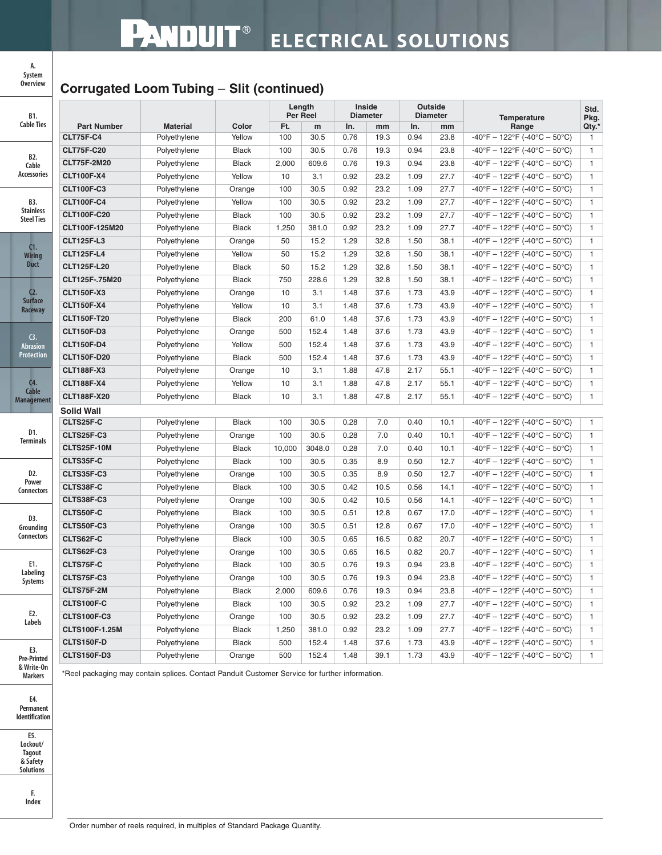## **Corrugated Loom Tubing** – **Slit (continued)**

| B1.                                          |                    |                 |              | Length<br>Per Reel |        | Inside<br><b>Diameter</b> |      | Outside<br><b>Diameter</b> |      | <b>Temperature</b>                                                      |              |
|----------------------------------------------|--------------------|-----------------|--------------|--------------------|--------|---------------------------|------|----------------------------|------|-------------------------------------------------------------------------|--------------|
| <b>Cable Ties</b>                            | <b>Part Number</b> | <b>Material</b> | Color        | Ft.                | m      | In.                       | mm   | In.                        | mm   | Range                                                                   | Qty.*        |
|                                              | <b>CLT75F-C4</b>   | Polyethylene    | Yellow       | 100                | 30.5   | 0.76                      | 19.3 | 0.94                       | 23.8 | -40°F - 122°F (-40°C - 50°C)                                            | 1            |
| B2.<br>Cable<br>Accessories                  | <b>CLT75F-C20</b>  | Polyethylene    | <b>Black</b> | 100                | 30.5   | 0.76                      | 19.3 | 0.94                       | 23.8 | $-40^{\circ}F - 122^{\circ}F (-40^{\circ}C - 50^{\circ}C)$              | $\mathbf{1}$ |
|                                              | <b>CLT75F-2M20</b> | Polyethylene    | <b>Black</b> | 2,000              | 609.6  | 0.76                      | 19.3 | 0.94                       | 23.8 | $-40^{\circ}F - 122^{\circ}F (-40^{\circ}C - 50^{\circ}C)$              | $\mathbf{1}$ |
|                                              | <b>CLT100F-X4</b>  | Polyethylene    | Yellow       | 10                 | 3.1    | 0.92                      | 23.2 | 1.09                       | 27.7 | $-40^{\circ}$ F - 122 $^{\circ}$ F (-40 $^{\circ}$ C - 50 $^{\circ}$ C) | 1            |
| B3.<br><b>Stainless</b><br><b>Steel Ties</b> | <b>CLT100F-C3</b>  | Polyethylene    | Orange       | 100                | 30.5   | 0.92                      | 23.2 | 1.09                       | 27.7 | -40°F - 122°F (-40°C - 50°C)                                            | $\mathbf{1}$ |
|                                              | <b>CLT100F-C4</b>  | Polyethylene    | Yellow       | 100                | 30.5   | 0.92                      | 23.2 | 1.09                       | 27.7 | $-40^{\circ}F - 122^{\circ}F (-40^{\circ}C - 50^{\circ}C)$              | $\mathbf{1}$ |
|                                              | <b>CLT100F-C20</b> | Polyethylene    | <b>Black</b> | 100                | 30.5   | 0.92                      | 23.2 | 1.09                       | 27.7 | $-40^{\circ}$ F - 122°F (-40°C - 50°C)                                  | $\mathbf{1}$ |
|                                              | CLT100F-125M20     | Polyethylene    | <b>Black</b> | 1,250              | 381.0  | 0.92                      | 23.2 | 1.09                       | 27.7 | $-40^{\circ}F - 122^{\circ}F (-40^{\circ}C - 50^{\circ}C)$              | $\mathbf{1}$ |
| C1.                                          | <b>CLT125F-L3</b>  | Polyethylene    | Orange       | 50                 | 15.2   | 1.29                      | 32.8 | 1.50                       | 38.1 | $-40^{\circ}F - 122^{\circ}F (-40^{\circ}C - 50^{\circ}C)$              | $\mathbf{1}$ |
| <b>Wiring</b>                                | <b>CLT125F-L4</b>  | Polyethylene    | Yellow       | 50                 | 15.2   | 1.29                      | 32.8 | 1.50                       | 38.1 | $-40^{\circ}F - 122^{\circ}F (-40^{\circ}C - 50^{\circ}C)$              | $\mathbf{1}$ |
| <b>Duct</b>                                  | <b>CLT125F-L20</b> | Polyethylene    | <b>Black</b> | 50                 | 15.2   | 1.29                      | 32.8 | 1.50                       | 38.1 | $-40^{\circ}$ F - 122 $^{\circ}$ F (-40 $^{\circ}$ C - 50 $^{\circ}$ C) | $\mathbf{1}$ |
|                                              | CLT125F-.75M20     | Polyethylene    | <b>Black</b> | 750                | 228.6  | 1.29                      | 32.8 | 1.50                       | 38.1 | $-40^{\circ}F - 122^{\circ}F (-40^{\circ}C - 50^{\circ}C)$              | $\mathbf{1}$ |
| C <sub>2</sub>                               | <b>CLT150F-X3</b>  | Polyethylene    | Orange       | 10                 | 3.1    | 1.48                      | 37.6 | 1.73                       | 43.9 | $-40^{\circ}F - 122^{\circ}F (-40^{\circ}C - 50^{\circ}C)$              | $\mathbf{1}$ |
| <b>Surface</b><br>Raceway                    | <b>CLT150F-X4</b>  | Polyethylene    | Yellow       | 10                 | 3.1    | 1.48                      | 37.6 | 1.73                       | 43.9 | $-40^{\circ}F - 122^{\circ}F (-40^{\circ}C - 50^{\circ}C)$              | $\mathbf{1}$ |
|                                              | <b>CLT150F-T20</b> | Polyethylene    | <b>Black</b> | 200                | 61.0   | 1.48                      | 37.6 | 1.73                       | 43.9 | $-40^{\circ}F - 122^{\circ}F (-40^{\circ}C - 50^{\circ}C)$              | $\mathbf{1}$ |
| $\mathbf{G}$ .                               | <b>CLT150F-D3</b>  | Polyethylene    | Orange       | 500                | 152.4  | 1.48                      | 37.6 | 1.73                       | 43.9 | $-40^{\circ}F - 122^{\circ}F (-40^{\circ}C - 50^{\circ}C)$              | $\mathbf{1}$ |
| <b>Abrasion</b>                              | <b>CLT150F-D4</b>  | Polyethylene    | Yellow       | 500                | 152.4  | 1.48                      | 37.6 | 1.73                       | 43.9 | $-40^{\circ}F - 122^{\circ}F (-40^{\circ}C - 50^{\circ}C)$              | $\mathbf{1}$ |
| <b>Protection</b>                            | <b>CLT150F-D20</b> | Polyethylene    | <b>Black</b> | 500                | 152.4  | 1.48                      | 37.6 | 1.73                       | 43.9 | $-40^{\circ}F - 122^{\circ}F (-40^{\circ}C - 50^{\circ}C)$              | $\mathbf{1}$ |
|                                              | <b>CLT188F-X3</b>  | Polyethylene    | Orange       | 10                 | 3.1    | 1.88                      | 47.8 | 2.17                       | 55.1 | $-40^{\circ}F - 122^{\circ}F (-40^{\circ}C - 50^{\circ}C)$              | $\mathbf{1}$ |
| $C4$ .                                       | <b>CLT188F-X4</b>  | Polyethylene    | Yellow       | 10                 | 3.1    | 1.88                      | 47.8 | 2.17                       | 55.1 | $-40^{\circ}F - 122^{\circ}F (-40^{\circ}C - 50^{\circ}C)$              | 1            |
| Cable<br><b>Management</b>                   | <b>CLT188F-X20</b> | Polyethylene    | <b>Black</b> | 10                 | 3.1    | 1.88                      | 47.8 | 2.17                       | 55.1 | $-40^{\circ}$ F - 122 $^{\circ}$ F (-40 $^{\circ}$ C - 50 $^{\circ}$ C) | $\mathbf{1}$ |
|                                              | <b>Solid Wall</b>  |                 |              |                    |        |                           |      |                            |      |                                                                         |              |
|                                              | CLTS25F-C          | Polyethylene    | <b>Black</b> | 100                | 30.5   | 0.28                      | 7.0  | 0.40                       | 10.1 | $-40^{\circ}F - 122^{\circ}F (-40^{\circ}C - 50^{\circ}C)$              | $\mathbf{1}$ |
| D1.<br><b>Terminals</b>                      | CLTS25F-C3         | Polyethylene    | Orange       | 100                | 30.5   | 0.28                      | 7.0  | 0.40                       | 10.1 | $-40^{\circ}F - 122^{\circ}F (-40^{\circ}C - 50^{\circ}C)$              | $\mathbf{1}$ |
|                                              | CLTS25F-10M        | Polyethylene    | <b>Black</b> | 10,000             | 3048.0 | 0.28                      | 7.0  | 0.40                       | 10.1 | $-40^{\circ}F - 122^{\circ}F (-40^{\circ}C - 50^{\circ}C)$              | $\mathbf{1}$ |
|                                              | CLTS35F-C          | Polyethylene    | <b>Black</b> | 100                | 30.5   | 0.35                      | 8.9  | 0.50                       | 12.7 | $-40^{\circ}F - 122^{\circ}F (-40^{\circ}C - 50^{\circ}C)$              | $\mathbf{1}$ |
| D2.                                          | CLTS35F-C3         | Polyethylene    | Orange       | 100                | 30.5   | 0.35                      | 8.9  | 0.50                       | 12.7 | $-40^{\circ}F - 122^{\circ}F (-40^{\circ}C - 50^{\circ}C)$              | $\mathbf{1}$ |
| Power<br><b>Connectors</b>                   | CLTS38F-C          | Polyethylene    | <b>Black</b> | 100                | 30.5   | 0.42                      | 10.5 | 0.56                       | 14.1 | $-40^{\circ}F - 122^{\circ}F (-40^{\circ}C - 50^{\circ}C)$              | $\mathbf{1}$ |
|                                              | CLTS38F-C3         | Polyethylene    | Orange       | 100                | 30.5   | 0.42                      | 10.5 | 0.56                       | 14.1 | $-40^{\circ}F - 122^{\circ}F (-40^{\circ}C - 50^{\circ}C)$              | $\mathbf{1}$ |
| D3.                                          | CLTS50F-C          | Polyethylene    | <b>Black</b> | 100                | 30.5   | 0.51                      | 12.8 | 0.67                       | 17.0 | $-40^{\circ}F - 122^{\circ}F (-40^{\circ}C - 50^{\circ}C)$              | $\mathbf{1}$ |
| Grounding                                    | CLTS50F-C3         | Polyethylene    | Orange       | 100                | 30.5   | 0.51                      | 12.8 | 0.67                       | 17.0 | $-40^{\circ}F - 122^{\circ}F (-40^{\circ}C - 50^{\circ}C)$              | $\mathbf{1}$ |
| <b>Connectors</b>                            | CLTS62F-C          | Polyethylene    | <b>Black</b> | 100                | 30.5   | 0.65                      | 16.5 | 0.82                       | 20.7 | $-40^{\circ}F - 122^{\circ}F (-40^{\circ}C - 50^{\circ}C)$              | $\mathbf{1}$ |
| E1.<br>Labeling<br>Systems                   | CLTS62F-C3         | Polyethylene    | Orange       | 100                | 30.5   | 0.65                      | 16.5 | 0.82                       | 20.7 | $-40^{\circ}F - 122^{\circ}F (-40^{\circ}C - 50^{\circ}C)$              | 1            |
|                                              | CLTS75F-C          | Polyethylene    | <b>Black</b> | 100                | 30.5   | 0.76                      | 19.3 | 0.94                       | 23.8 | $-40^{\circ}F - 122^{\circ}F (-40^{\circ}C - 50^{\circ}C)$              | $\mathbf{1}$ |
|                                              | CLTS75F-C3         | Polyethylene    | Orange       | 100                | 30.5   | 0.76                      | 19.3 | 0.94                       | 23.8 | -40°F - 122°F (-40°C - 50°C)                                            | $\mathbf{1}$ |
|                                              | CLTS75F-2M         | Polyethylene    | <b>Black</b> | 2,000              | 609.6  | 0.76                      | 19.3 | 0.94                       | 23.8 | $-40^{\circ}$ F – 122 $^{\circ}$ F (-40 $^{\circ}$ C – 50 $^{\circ}$ C) | $\mathbf{1}$ |
|                                              | CLTS100F-C         | Polyethylene    | <b>Black</b> | 100                | 30.5   | 0.92                      | 23.2 | 1.09                       | 27.7 | $-40^{\circ}$ F - 122 $^{\circ}$ F (-40 $^{\circ}$ C - 50 $^{\circ}$ C) | 1            |
| E2.<br>Labels                                | <b>CLTS100F-C3</b> | Polyethylene    | Orange       | 100                | 30.5   | 0.92                      | 23.2 | 1.09                       | 27.7 | -40°F - 122°F (-40°C - 50°C)                                            | $\mathbf{1}$ |
|                                              | CLTS100F-1.25M     | Polyethylene    | <b>Black</b> | 1,250              | 381.0  | 0.92                      | 23.2 | 1.09                       | 27.7 | $-40^{\circ}$ F - 122 $^{\circ}$ F (-40 $^{\circ}$ C - 50 $^{\circ}$ C) | $\mathbf{1}$ |
|                                              | CLTS150F-D         | Polyethylene    | Black        | 500                | 152.4  | 1.48                      | 37.6 | 1.73                       | 43.9 | $-40^{\circ}F - 122^{\circ}F (-40^{\circ}C - 50^{\circ}C)$              | $\mathbf{1}$ |
| E3.<br><b>Pre-Printed</b><br>& Write-On      | <b>CLTS150F-D3</b> | Polyethylene    | Orange       | 500                | 152.4  | 1.48                      | 39.1 | 1.73                       | 43.9 | $-40^{\circ}$ F - 122 $^{\circ}$ F (-40 $^{\circ}$ C - 50 $^{\circ}$ C) | 1            |

\*Reel packaging may contain splices. Contact Panduit Customer Service for further information.



**Ma** 

**A. System Overview**

**E5. Lockout/ Tagout & Safety Solutions**

> **F. Index**